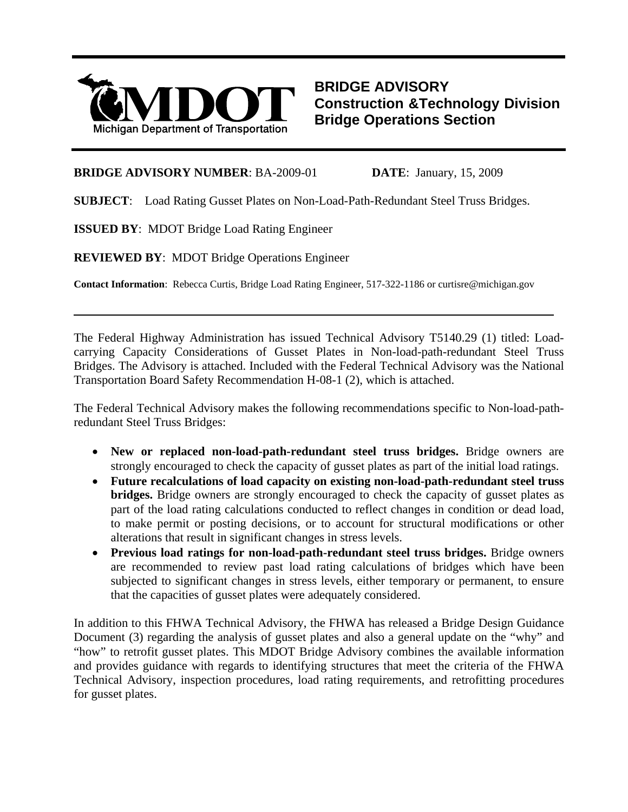

**BRIDGE ADVISORY Construction &Technology Division Bridge Operations Section**

### **BRIDGE ADVISORY NUMBER**: BA-2009-01 **DATE**: January, 15, 2009

**SUBJECT**: Load Rating Gusset Plates on Non-Load-Path-Redundant Steel Truss Bridges.

**ISSUED BY**: MDOT Bridge Load Rating Engineer

l

**REVIEWED BY**: MDOT Bridge Operations Engineer

**Contact Information**: Rebecca Curtis, Bridge Load Rating Engineer, 517-322-1186 or curtisre@michigan.gov

The Federal Highway Administration has issued Technical Advisory T5140.29 (1) titled: Loadcarrying Capacity Considerations of Gusset Plates in Non-load-path-redundant Steel Truss Bridges. The Advisory is attached. Included with the Federal Technical Advisory was the National Transportation Board Safety Recommendation H-08-1 (2), which is attached.

The Federal Technical Advisory makes the following recommendations specific to Non-load-pathredundant Steel Truss Bridges:

- **New or replaced non-load-path-redundant steel truss bridges.** Bridge owners are strongly encouraged to check the capacity of gusset plates as part of the initial load ratings.
- **Future recalculations of load capacity on existing non-load-path-redundant steel truss bridges.** Bridge owners are strongly encouraged to check the capacity of gusset plates as part of the load rating calculations conducted to reflect changes in condition or dead load, to make permit or posting decisions, or to account for structural modifications or other alterations that result in significant changes in stress levels.
- **Previous load ratings for non-load-path-redundant steel truss bridges.** Bridge owners are recommended to review past load rating calculations of bridges which have been subjected to significant changes in stress levels, either temporary or permanent, to ensure that the capacities of gusset plates were adequately considered.

In addition to this FHWA Technical Advisory, the FHWA has released a Bridge Design Guidance Document (3) regarding the analysis of gusset plates and also a general update on the "why" and "how" to retrofit gusset plates. This MDOT Bridge Advisory combines the available information and provides guidance with regards to identifying structures that meet the criteria of the FHWA Technical Advisory, inspection procedures, load rating requirements, and retrofitting procedures for gusset plates.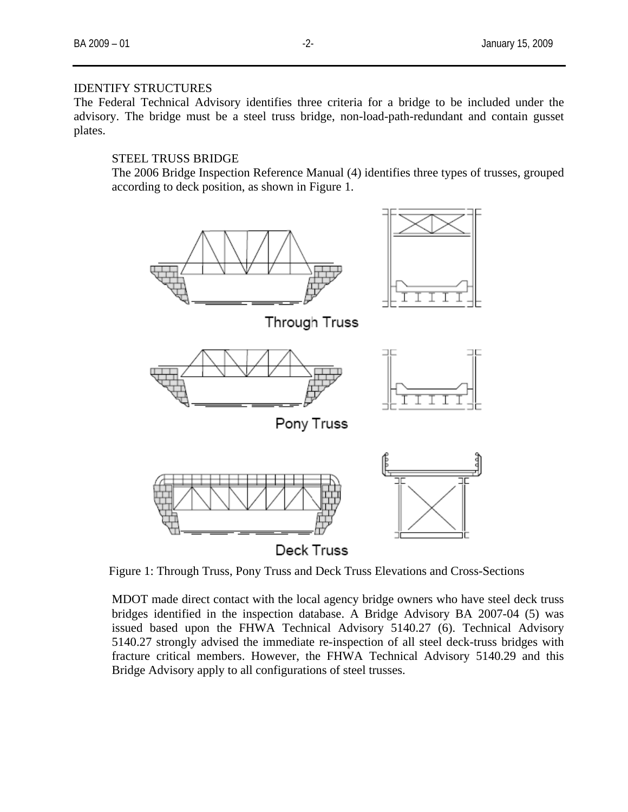### IDENTIFY STRUCTURES

The Federal Technical Advisory identifies three criteria for a bridge to be included under the advisory. The bridge must be a steel truss bridge, non-load-path-redundant and contain gusset plates.

# STEEL TRUSS BRIDGE

The 2006 Bridge Inspection Reference Manual (4) identifies three types of trusses, grouped according to deck position, as shown in Figure 1.



Figure 1: Through Truss, Pony Truss and Deck Truss Elevations and Cross-Sections

MDOT made direct contact with the local agency bridge owners who have steel deck truss bridges identified in the inspection database. A Bridge Advisory BA 2007-04 (5) was issued based upon the FHWA Technical Advisory 5140.27 (6). Technical Advisory 5140.27 strongly advised the immediate re-inspection of all steel deck-truss bridges with fracture critical members. However, the FHWA Technical Advisory 5140.29 and this Bridge Advisory apply to all configurations of steel trusses.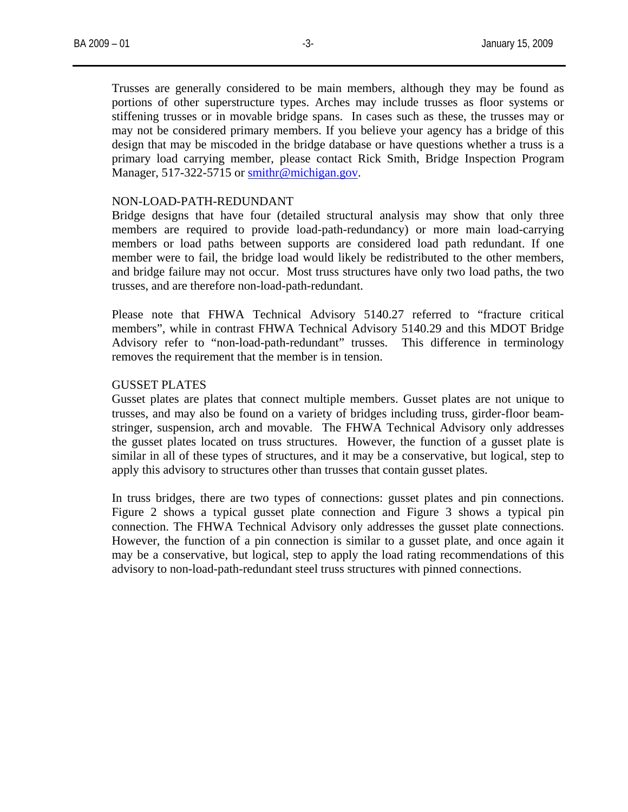Trusses are generally considered to be main members, although they may be found as portions of other superstructure types. Arches may include trusses as floor systems or stiffening trusses or in movable bridge spans. In cases such as these, the trusses may or may not be considered primary members. If you believe your agency has a bridge of this design that may be miscoded in the bridge database or have questions whether a truss is a primary load carrying member, please contact Rick Smith, Bridge Inspection Program Manager, 517-322-5715 or [smithr@michigan.gov](mailto:smithr@michigan.gov).

### NON-LOAD-PATH-REDUNDANT

Bridge designs that have four (detailed structural analysis may show that only three members are required to provide load-path-redundancy) or more main load-carrying members or load paths between supports are considered load path redundant. If one member were to fail, the bridge load would likely be redistributed to the other members, and bridge failure may not occur. Most truss structures have only two load paths, the two trusses, and are therefore non-load-path-redundant.

Please note that FHWA Technical Advisory 5140.27 referred to "fracture critical members", while in contrast FHWA Technical Advisory 5140.29 and this MDOT Bridge Advisory refer to "non-load-path-redundant" trusses. This difference in terminology removes the requirement that the member is in tension.

### GUSSET PLATES

Gusset plates are plates that connect multiple members. Gusset plates are not unique to trusses, and may also be found on a variety of bridges including truss, girder-floor beamstringer, suspension, arch and movable. The FHWA Technical Advisory only addresses the gusset plates located on truss structures. However, the function of a gusset plate is similar in all of these types of structures, and it may be a conservative, but logical, step to apply this advisory to structures other than trusses that contain gusset plates.

In truss bridges, there are two types of connections: gusset plates and pin connections. Figure 2 shows a typical gusset plate connection and Figure 3 shows a typical pin connection. The FHWA Technical Advisory only addresses the gusset plate connections. However, the function of a pin connection is similar to a gusset plate, and once again it may be a conservative, but logical, step to apply the load rating recommendations of this advisory to non-load-path-redundant steel truss structures with pinned connections.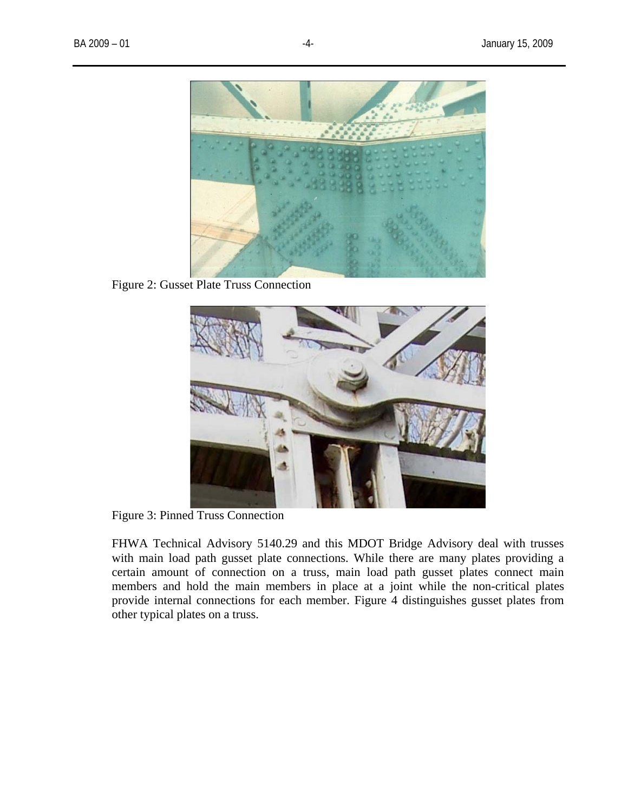

Figure 2: Gusset Plate Truss Connection



Figure 3: Pinned Truss Connection

FHWA Technical Advisory 5140.29 and this MDOT Bridge Advisory deal with trusses with main load path gusset plate connections. While there are many plates providing a certain amount of connection on a truss, main load path gusset plates connect main members and hold the main members in place at a joint while the non-critical plates provide internal connections for each member. Figure 4 distinguishes gusset plates from other typical plates on a truss.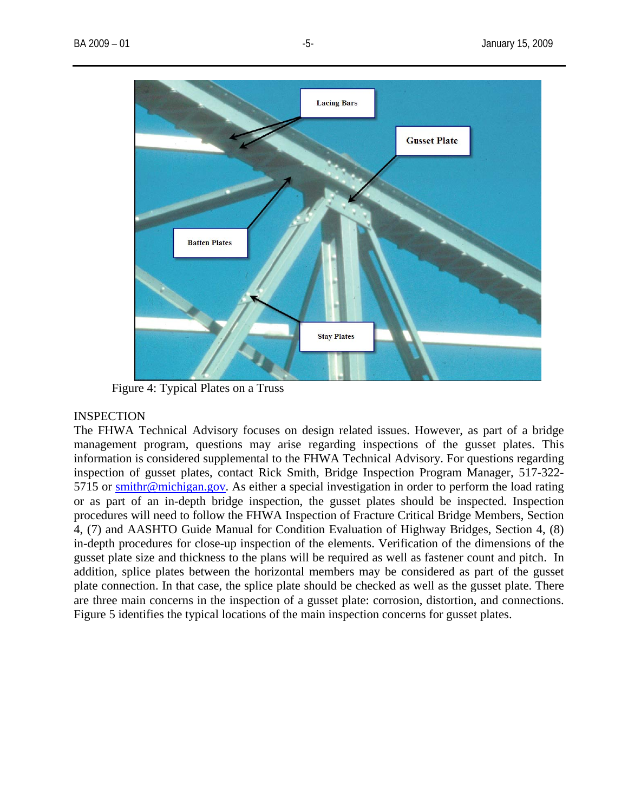

Figure 4: Typical Plates on a Truss

### INSPECTION

The FHWA Technical Advisory focuses on design related issues. However, as part of a bridge management program, questions may arise regarding inspections of the gusset plates. This information is considered supplemental to the FHWA Technical Advisory. For questions regarding inspection of gusset plates, contact Rick Smith, Bridge Inspection Program Manager, 517-322- 5715 or [smithr@michigan.gov](mailto:smithr@michigan.gov). As either a special investigation in order to perform the load rating or as part of an in-depth bridge inspection, the gusset plates should be inspected. Inspection procedures will need to follow the FHWA Inspection of Fracture Critical Bridge Members, Section 4, (7) and AASHTO Guide Manual for Condition Evaluation of Highway Bridges, Section 4, (8) in-depth procedures for close-up inspection of the elements. Verification of the dimensions of the gusset plate size and thickness to the plans will be required as well as fastener count and pitch. In addition, splice plates between the horizontal members may be considered as part of the gusset plate connection. In that case, the splice plate should be checked as well as the gusset plate. There are three main concerns in the inspection of a gusset plate: corrosion, distortion, and connections. Figure 5 identifies the typical locations of the main inspection concerns for gusset plates.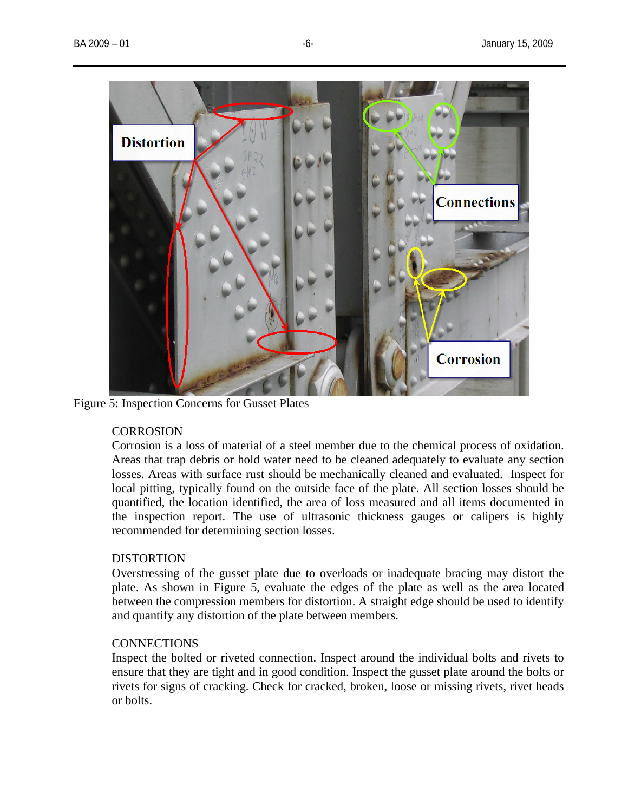

Figure 5: Inspection Concerns for Gusset Plates

## **CORROSION**

Corrosion is a loss of material of a steel member due to the chemical process of oxidation. Areas that trap debris or hold water need to be cleaned adequately to evaluate any section losses. Areas with surface rust should be mechanically cleaned and evaluated. Inspect for local pitting, typically found on the outside face of the plate. All section losses should be quantified, the location identified, the area of loss measured and all items documented in the inspection report. The use of ultrasonic thickness gauges or calipers is highly recommended for determining section losses.

## **DISTORTION**

Overstressing of the gusset plate due to overloads or inadequate bracing may distort the plate. As shown in Figure 5, evaluate the edges of the plate as well as the area located between the compression members for distortion. A straight edge should be used to identify and quantify any distortion of the plate between members.

## **CONNECTIONS**

Inspect the bolted or riveted connection. Inspect around the individual bolts and rivets to ensure that they are tight and in good condition. Inspect the gusset plate around the bolts or rivets for signs of cracking. Check for cracked, broken, loose or missing rivets, rivet heads or bolts.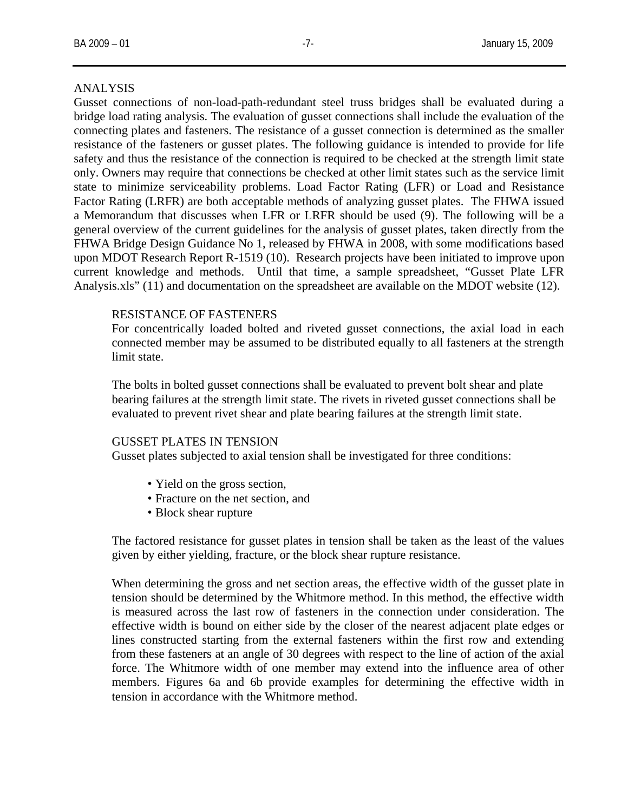### ANALYSIS

Gusset connections of non-load-path-redundant steel truss bridges shall be evaluated during a bridge load rating analysis. The evaluation of gusset connections shall include the evaluation of the connecting plates and fasteners. The resistance of a gusset connection is determined as the smaller resistance of the fasteners or gusset plates. The following guidance is intended to provide for life safety and thus the resistance of the connection is required to be checked at the strength limit state only. Owners may require that connections be checked at other limit states such as the service limit state to minimize serviceability problems. Load Factor Rating (LFR) or Load and Resistance Factor Rating (LRFR) are both acceptable methods of analyzing gusset plates. The FHWA issued a Memorandum that discusses when LFR or LRFR should be used (9). The following will be a general overview of the current guidelines for the analysis of gusset plates, taken directly from the FHWA Bridge Design Guidance No 1, released by FHWA in 2008, with some modifications based upon MDOT Research Report R-1519 (10). Research projects have been initiated to improve upon current knowledge and methods. Until that time, a sample spreadsheet, "Gusset Plate LFR Analysis.xls" (11) and documentation on the spreadsheet are available on the MDOT website (12).

### RESISTANCE OF FASTENERS

For concentrically loaded bolted and riveted gusset connections, the axial load in each connected member may be assumed to be distributed equally to all fasteners at the strength limit state.

The bolts in bolted gusset connections shall be evaluated to prevent bolt shear and plate bearing failures at the strength limit state. The rivets in riveted gusset connections shall be evaluated to prevent rivet shear and plate bearing failures at the strength limit state.

### GUSSET PLATES IN TENSION

Gusset plates subjected to axial tension shall be investigated for three conditions:

- Yield on the gross section,
- Fracture on the net section, and
- Block shear rupture

The factored resistance for gusset plates in tension shall be taken as the least of the values given by either yielding, fracture, or the block shear rupture resistance.

When determining the gross and net section areas, the effective width of the gusset plate in tension should be determined by the Whitmore method. In this method, the effective width is measured across the last row of fasteners in the connection under consideration. The effective width is bound on either side by the closer of the nearest adjacent plate edges or lines constructed starting from the external fasteners within the first row and extending from these fasteners at an angle of 30 degrees with respect to the line of action of the axial force. The Whitmore width of one member may extend into the influence area of other members. Figures 6a and 6b provide examples for determining the effective width in tension in accordance with the Whitmore method.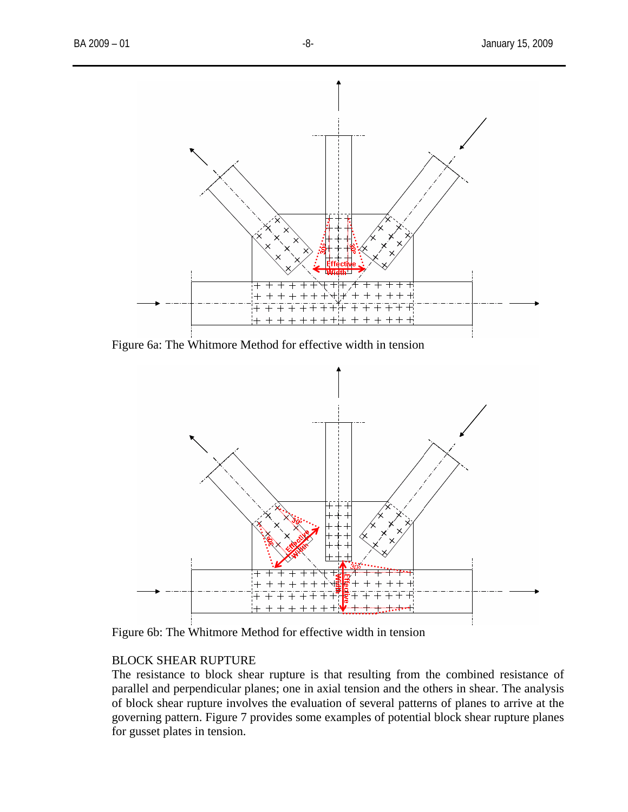

Figure 6a: The Whitmore Method for effective width in tension



Figure 6b: The Whitmore Method for effective width in tension

# BLOCK SHEAR RUPTURE

The resistance to block shear rupture is that resulting from the combined resistance of parallel and perpendicular planes; one in axial tension and the others in shear. The analysis of block shear rupture involves the evaluation of several patterns of planes to arrive at the governing pattern. Figure 7 provides some examples of potential block shear rupture planes for gusset plates in tension.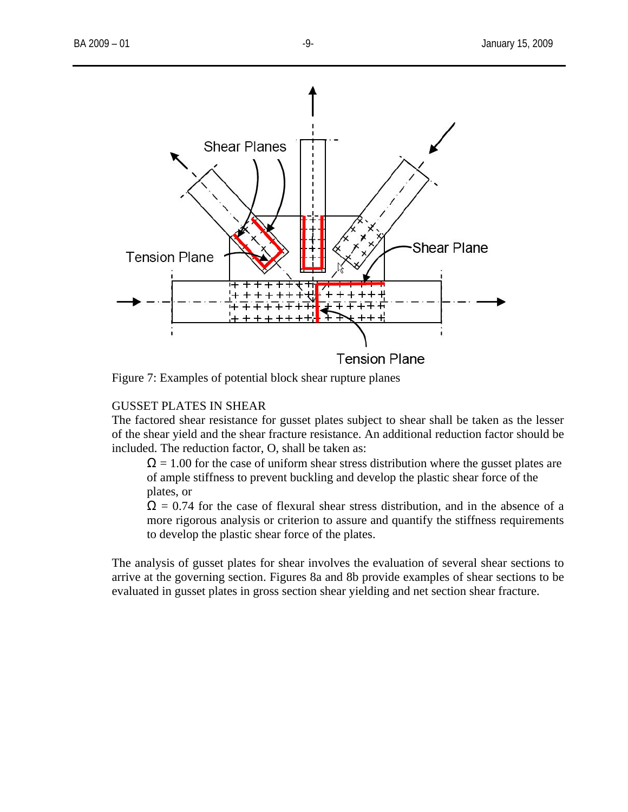

Figure 7: Examples of potential block shear rupture planes

# GUSSET PLATES IN SHEAR

The factored shear resistance for gusset plates subject to shear shall be taken as the lesser of the shear yield and the shear fracture resistance. An additional reduction factor should be included. The reduction factor, O, shall be taken as:

 $\Omega = 1.00$  for the case of uniform shear stress distribution where the gusset plates are of ample stiffness to prevent buckling and develop the plastic shear force of the plates, or

 $\Omega$  = 0.74 for the case of flexural shear stress distribution, and in the absence of a more rigorous analysis or criterion to assure and quantify the stiffness requirements to develop the plastic shear force of the plates.

The analysis of gusset plates for shear involves the evaluation of several shear sections to arrive at the governing section. Figures 8a and 8b provide examples of shear sections to be evaluated in gusset plates in gross section shear yielding and net section shear fracture.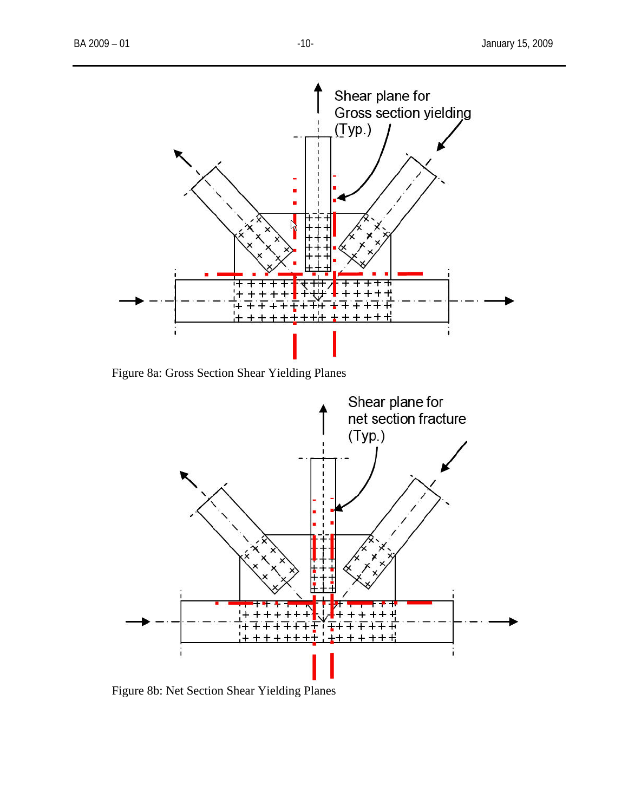

Figure 8a: Gross Section Shear Yielding Planes



Figure 8b: Net Section Shear Yielding Planes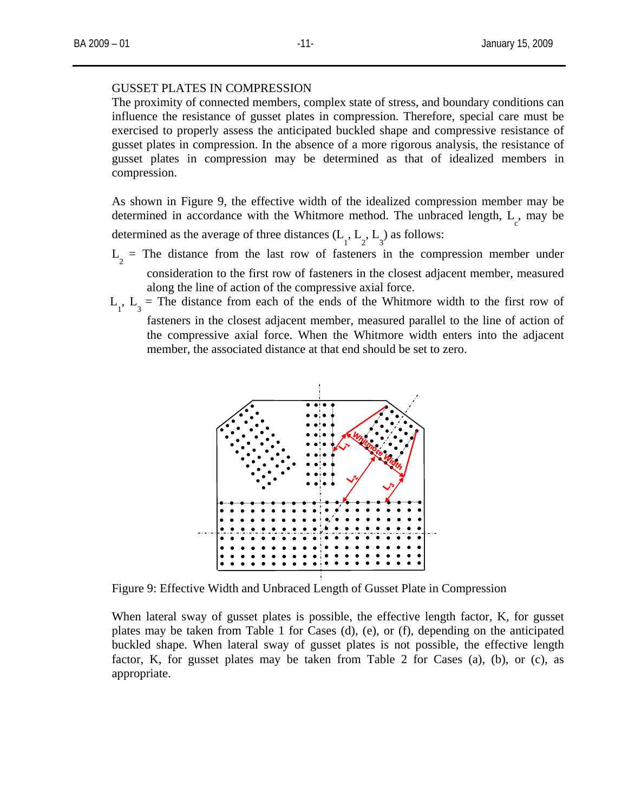#### GUSSET PLATES IN COMPRESSION

The proximity of connected members, complex state of stress, and boundary conditions can influence the resistance of gusset plates in compression. Therefore, special care must be exercised to properly assess the anticipated buckled shape and compressive resistance of gusset plates in compression. In the absence of a more rigorous analysis, the resistance of gusset plates in compression may be determined as that of idealized members in compression.

As shown in Figure 9, the effective width of the idealized compression member may be determined in accordance with the Whitmore method. The unbraced length,  $L_c$ , may be

determined as the average of three distances  $(L_1, L_2, L_3)$  as follows:

- $L<sub>2</sub>$  = The distance from the last row of fasteners in the compression member under consideration to the first row of fasteners in the closest adjacent member, measured along the line of action of the compressive axial force.
- $L_1$ ,  $L_3$  = The distance from each of the ends of the Whitmore width to the first row of fasteners in the closest adjacent member, measured parallel to the line of action of the compressive axial force. When the Whitmore width enters into the adjacent member, the associated distance at that end should be set to zero.



Figure 9: Effective Width and Unbraced Length of Gusset Plate in Compression

When lateral sway of gusset plates is possible, the effective length factor, K, for gusset plates may be taken from Table 1 for Cases (d), (e), or (f), depending on the anticipated buckled shape. When lateral sway of gusset plates is not possible, the effective length factor, K, for gusset plates may be taken from Table 2 for Cases (a), (b), or (c), as appropriate.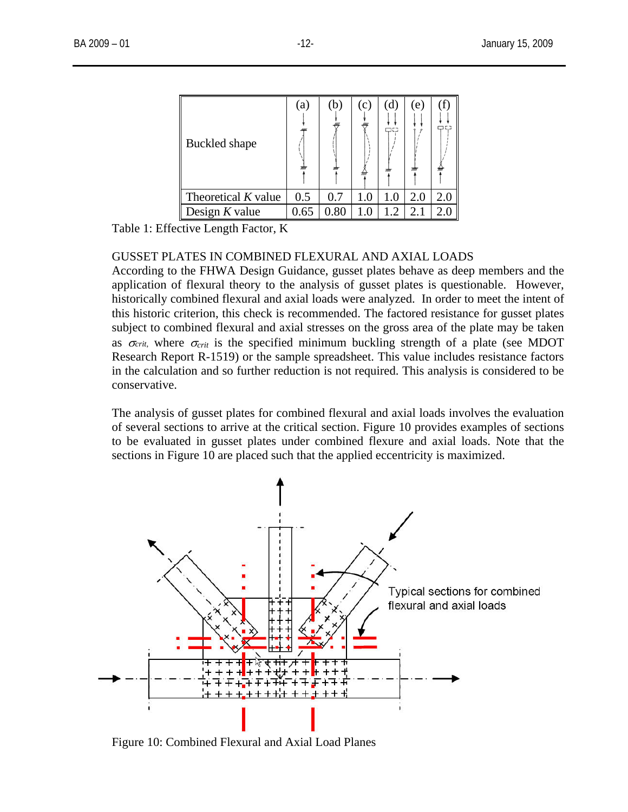| Buckled shape         | (a)      | (b)      | (c) | d.<br>ᄆᅞ | (e) | ۵C. |
|-----------------------|----------|----------|-----|----------|-----|-----|
| Theoretical $K$ value | 0.5      | 0.7      | 1.0 | $1.0\,$  | 2.0 | 2.0 |
| Design $K$ value      | $0.65\,$ | $0.80\,$ |     | 1.2      |     |     |

Table 1: Effective Length Factor, K

# GUSSET PLATES IN COMBINED FLEXURAL AND AXIAL LOADS

According to the FHWA Design Guidance, gusset plates behave as deep members and the application of flexural theory to the analysis of gusset plates is questionable. However, historically combined flexural and axial loads were analyzed. In order to meet the intent of this historic criterion, this check is recommended. The factored resistance for gusset plates subject to combined flexural and axial stresses on the gross area of the plate may be taken as  $\sigma_{crit}$ , where  $\sigma_{crit}$  is the specified minimum buckling strength of a plate (see MDOT Research Report R-1519) or the sample spreadsheet. This value includes resistance factors in the calculation and so further reduction is not required. This analysis is considered to be conservative.

The analysis of gusset plates for combined flexural and axial loads involves the evaluation of several sections to arrive at the critical section. Figure 10 provides examples of sections to be evaluated in gusset plates under combined flexure and axial loads. Note that the sections in Figure 10 are placed such that the applied eccentricity is maximized.



Figure 10: Combined Flexural and Axial Load Planes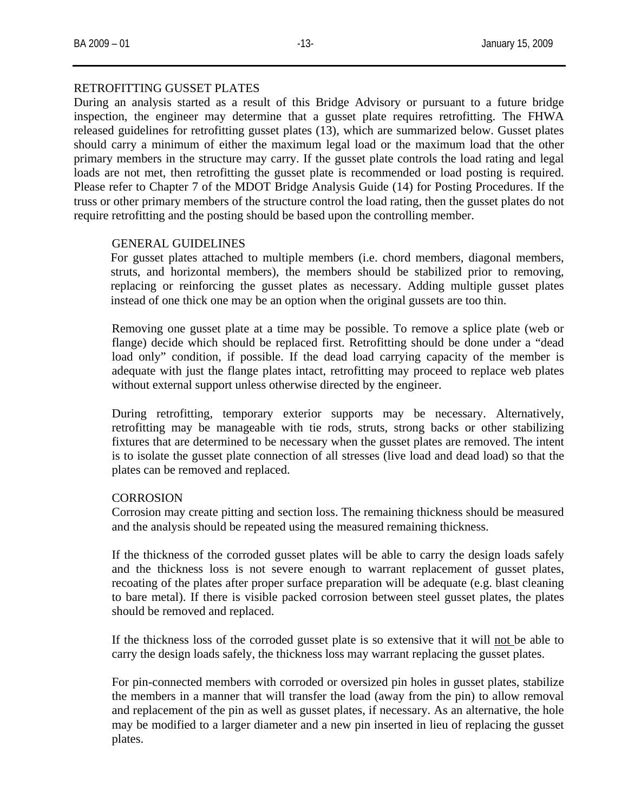### RETROFITTING GUSSET PLATES

During an analysis started as a result of this Bridge Advisory or pursuant to a future bridge inspection, the engineer may determine that a gusset plate requires retrofitting. The FHWA released guidelines for retrofitting gusset plates (13), which are summarized below. Gusset plates should carry a minimum of either the maximum legal load or the maximum load that the other primary members in the structure may carry. If the gusset plate controls the load rating and legal loads are not met, then retrofitting the gusset plate is recommended or load posting is required. Please refer to Chapter 7 of the MDOT Bridge Analysis Guide (14) for Posting Procedures. If the truss or other primary members of the structure control the load rating, then the gusset plates do not require retrofitting and the posting should be based upon the controlling member.

### GENERAL GUIDELINES

For gusset plates attached to multiple members (i.e. chord members, diagonal members, struts, and horizontal members), the members should be stabilized prior to removing, replacing or reinforcing the gusset plates as necessary. Adding multiple gusset plates instead of one thick one may be an option when the original gussets are too thin.

Removing one gusset plate at a time may be possible. To remove a splice plate (web or flange) decide which should be replaced first. Retrofitting should be done under a "dead load only" condition, if possible. If the dead load carrying capacity of the member is adequate with just the flange plates intact, retrofitting may proceed to replace web plates without external support unless otherwise directed by the engineer.

During retrofitting, temporary exterior supports may be necessary. Alternatively, retrofitting may be manageable with tie rods, struts, strong backs or other stabilizing fixtures that are determined to be necessary when the gusset plates are removed. The intent is to isolate the gusset plate connection of all stresses (live load and dead load) so that the plates can be removed and replaced.

### **CORROSION**

Corrosion may create pitting and section loss. The remaining thickness should be measured and the analysis should be repeated using the measured remaining thickness.

If the thickness of the corroded gusset plates will be able to carry the design loads safely and the thickness loss is not severe enough to warrant replacement of gusset plates, recoating of the plates after proper surface preparation will be adequate (e.g. blast cleaning to bare metal). If there is visible packed corrosion between steel gusset plates, the plates should be removed and replaced.

If the thickness loss of the corroded gusset plate is so extensive that it will not be able to carry the design loads safely, the thickness loss may warrant replacing the gusset plates.

For pin-connected members with corroded or oversized pin holes in gusset plates, stabilize the members in a manner that will transfer the load (away from the pin) to allow removal and replacement of the pin as well as gusset plates, if necessary. As an alternative, the hole may be modified to a larger diameter and a new pin inserted in lieu of replacing the gusset plates.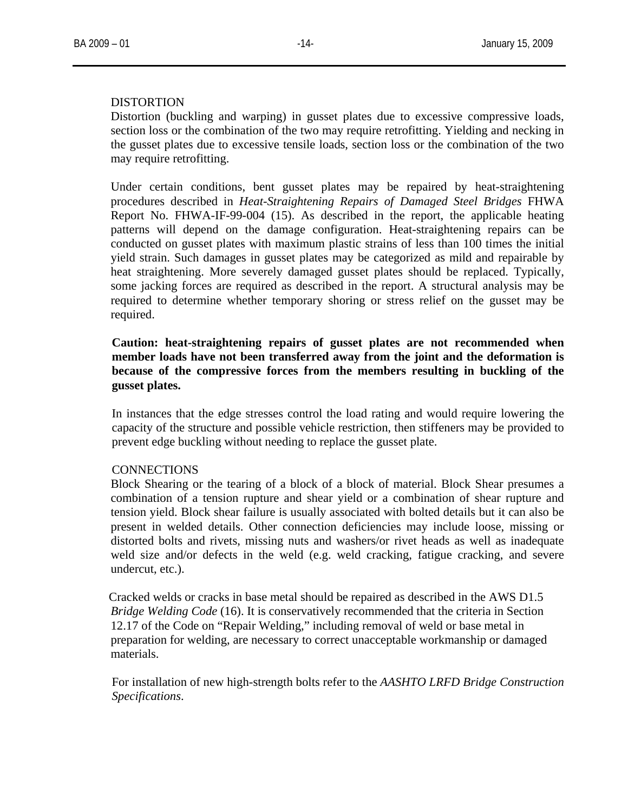### DISTORTION

Distortion (buckling and warping) in gusset plates due to excessive compressive loads, section loss or the combination of the two may require retrofitting. Yielding and necking in the gusset plates due to excessive tensile loads, section loss or the combination of the two may require retrofitting.

Under certain conditions, bent gusset plates may be repaired by heat-straightening procedures described in *Heat-Straightening Repairs of Damaged Steel Bridges* FHWA Report No. FHWA-IF-99-004 (15). As described in the report, the applicable heating patterns will depend on the damage configuration. Heat-straightening repairs can be conducted on gusset plates with maximum plastic strains of less than 100 times the initial yield strain. Such damages in gusset plates may be categorized as mild and repairable by heat straightening. More severely damaged gusset plates should be replaced. Typically, some jacking forces are required as described in the report. A structural analysis may be required to determine whether temporary shoring or stress relief on the gusset may be required.

# **Caution: heat-straightening repairs of gusset plates are not recommended when member loads have not been transferred away from the joint and the deformation is because of the compressive forces from the members resulting in buckling of the gusset plates.**

In instances that the edge stresses control the load rating and would require lowering the capacity of the structure and possible vehicle restriction, then stiffeners may be provided to prevent edge buckling without needing to replace the gusset plate.

### **CONNECTIONS**

Block Shearing or the tearing of a block of a block of material. Block Shear presumes a combination of a tension rupture and shear yield or a combination of shear rupture and tension yield. Block shear failure is usually associated with bolted details but it can also be present in welded details. Other connection deficiencies may include loose, missing or distorted bolts and rivets, missing nuts and washers/or rivet heads as well as inadequate weld size and/or defects in the weld (e.g. weld cracking, fatigue cracking, and severe undercut, etc.).

Cracked welds or cracks in base metal should be repaired as described in the AWS D1.5 *Bridge Welding Code* (16). It is conservatively recommended that the criteria in Section 12.17 of the Code on "Repair Welding," including removal of weld or base metal in preparation for welding, are necessary to correct unacceptable workmanship or damaged materials.

For installation of new high-strength bolts refer to the *AASHTO LRFD Bridge Construction Specifications*.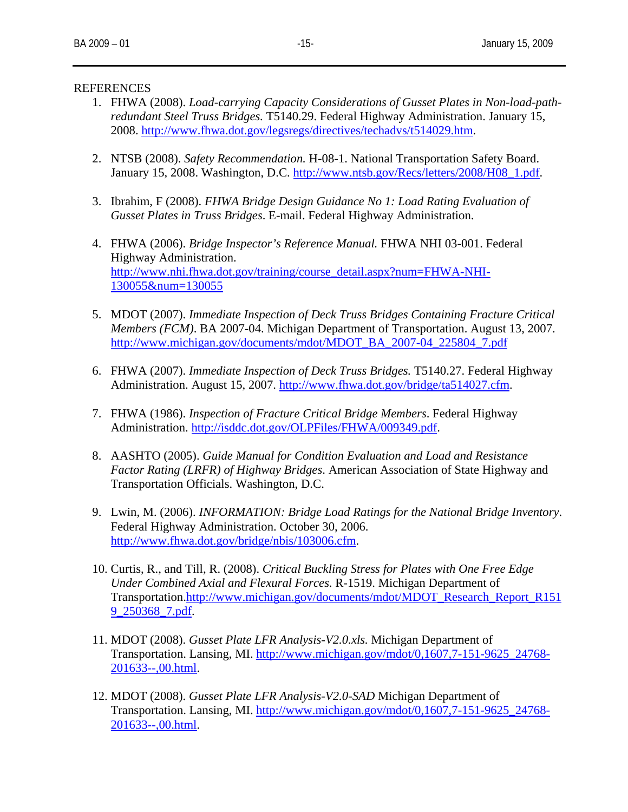### REFERENCES

- 1. FHWA (2008). *Load-carrying Capacity Considerations of Gusset Plates in Non-load-pathredundant Steel Truss Bridges.* T5140.29. Federal Highway Administration. January 15, 2008. <http://www.fhwa.dot.gov/legsregs/directives/techadvs/t514029.htm>.
- 2. NTSB (2008). *Safety Recommendation.* H-08-1. National Transportation Safety Board. January 15, 2008. Washington, D.C. [http://www.ntsb.gov/Recs/letters/2008/H08\\_1.pdf](http://www.ntsb.gov/Recs/letters/2008/H08_1.pdf).
- 3. Ibrahim, F (2008). *FHWA Bridge Design Guidance No 1: Load Rating Evaluation of Gusset Plates in Truss Bridges*. E-mail. Federal Highway Administration.
- 4. FHWA (2006). *Bridge Inspector's Reference Manual.* FHWA NHI 03-001. Federal Highway Administration. [http://www.nhi.fhwa.dot.gov/training/course\\_detail.aspx?num=FHWA-NHI-](http://www.nhi.fhwa.dot.gov/training/course_detail.aspx?num=FHWA-NHI-130055&num=130055)[130055&num=130055](http://www.nhi.fhwa.dot.gov/training/course_detail.aspx?num=FHWA-NHI-130055&num=130055)
- 5. MDOT (2007). *Immediate Inspection of Deck Truss Bridges Containing Fracture Critical Members (FCM)*. BA 2007-04. Michigan Department of Transportation. August 13, 2007. [http://www.michigan.gov/documents/mdot/MDOT\\_BA\\_2007-04\\_225804\\_7.pdf](http://www.michigan.gov/documents/mdot/MDOT_BA_2007-04_225804_7.pdf)
- 6. FHWA (2007). *Immediate Inspection of Deck Truss Bridges.* T5140.27. Federal Highway Administration. August 15, 2007. [http://www.fhwa.dot.gov/bridge/ta514027.cfm.](http://www.fhwa.dot.gov/bridge/ta514027.cfm)
- 7. FHWA (1986). *Inspection of Fracture Critical Bridge Members*. Federal Highway Administration. <http://isddc.dot.gov/OLPFiles/FHWA/009349.pdf>.
- 8. AASHTO (2005). *Guide Manual for Condition Evaluation and Load and Resistance Factor Rating (LRFR) of Highway Bridges*. American Association of State Highway and Transportation Officials. Washington, D.C.
- 9. Lwin, M. (2006). *INFORMATION: Bridge Load Ratings for the National Bridge Inventory*. Federal Highway Administration. October 30, 2006. <http://www.fhwa.dot.gov/bridge/nbis/103006.cfm>.
- 10. Curtis, R., and Till, R. (2008). *Critical Buckling Stress for Plates with One Free Edge Under Combined Axial and Flexural Forces*. R-1519. Michigan Department of Transportation.[http://www.michigan.gov/documents/mdot/MDOT\\_Research\\_Report\\_R151](http://www.michigan.gov/documents/mdot/MDOT_Research_Report_R1519_250368_7.pdf) [9\\_250368\\_7.pdf.](http://www.michigan.gov/documents/mdot/MDOT_Research_Report_R1519_250368_7.pdf)
- 11. MDOT (2008). *Gusset Plate LFR Analysis-V2.0.xls.* Michigan Department of Transportation. Lansing, MI. [http://www.michigan.gov/mdot/0,1607,7-151-9625\\_24768-](http://www.michigan.gov/mdot/0,1607,7-151-9625_24768-201633--,00.html) [201633--,00.html.](http://www.michigan.gov/mdot/0,1607,7-151-9625_24768-201633--,00.html)
- 12. MDOT (2008). *Gusset Plate LFR Analysis-V2.0-SAD* Michigan Department of Transportation. Lansing, MI. [http://www.michigan.gov/mdot/0,1607,7-151-9625\\_24768-](http://www.michigan.gov/mdot/0,1607,7-151-9625_24768-201633--,00.html) [201633--,00.html.](http://www.michigan.gov/mdot/0,1607,7-151-9625_24768-201633--,00.html)